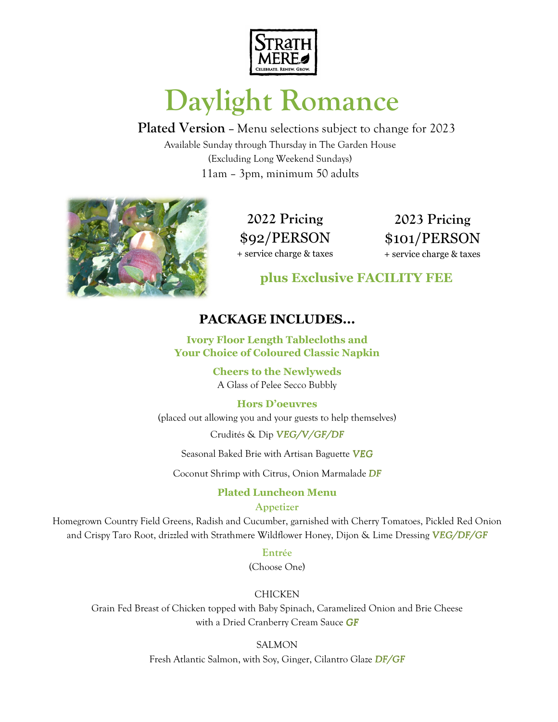

# **Daylight Romance**

**Plated Version –** Menu selections subject to change for 2023 Available Sunday through Thursday in The Garden House (Excluding Long Weekend Sundays) 11am – 3pm, minimum 50 adults



**2022 Pricing**  \$92/PERSON + service charge & taxes

**2023 Pricing**  \$101/PERSON + service charge & taxes

**plus Exclusive FACILITY FEE**

## **PACKAGE INCLUDES...**

**Ivory Floor Length Tablecloths and Your Choice of Coloured Classic Napkin** 

> **Cheers to the Newlyweds** A Glass of Pelee Secco Bubbly

## **Hors D'oeuvres**

(placed out allowing you and your guests to help themselves)

Crudités & Dip *VEG/V/GF/DF*

Seasonal Baked Brie with Artisan Baguette *VEG*

Coconut Shrimp with Citrus, Onion Marmalade *DF*

## **Plated Luncheon Menu**

## **Appetizer**

Homegrown Country Field Greens, Radish and Cucumber, garnished with Cherry Tomatoes, Pickled Red Onion and Crispy Taro Root, drizzled with Strathmere Wildflower Honey, Dijon & Lime Dressing *VEG/DF/GF VEG/DF/GF*

**Entrée** 

(Choose One)

## CHICKEN

Grain Fed Breast of Chicken topped with Baby Spinach, Caramelized Onion and Brie Cheese with a Dried Cranberry Cream Sauce *GF*

SALMON

Fresh Atlantic Salmon, with Soy, Ginger, Cilantro Glaze *DF/GF*